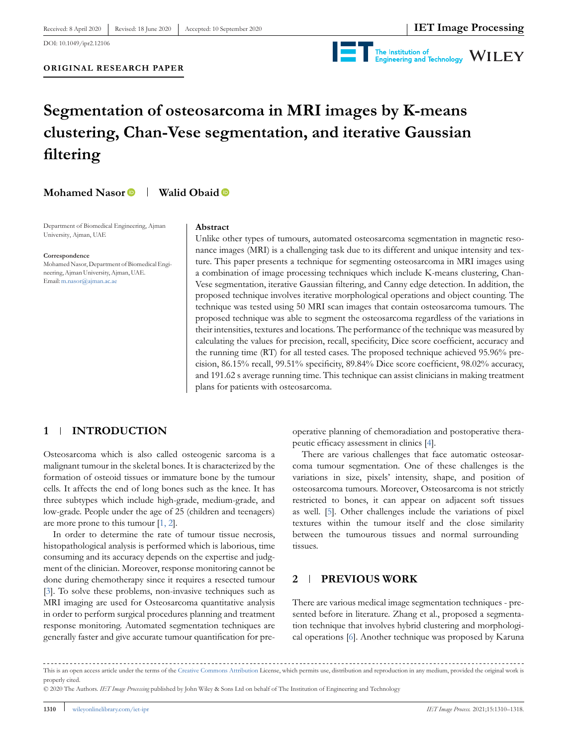DOI: 10.1049/ipr2.12106

**ORIGINAL RESEARCH PAPER**



# **Segmentation of osteosarcoma in MRI images by K-means clustering, Chan-Vese segmentation, and iterative Gaussian filtering**

**Mohamed Nasor Walid Obaid** 

Department of Biomedical Engineering, Ajman University, Ajman, UAE

**Correspondence**

Mohamed Nasor, Department of Biomedical Engineering, Ajman University, Ajman, UAE. Email:m.nasor@ajman.ac.ae

# **Abstract**

Unlike other types of tumours, automated osteosarcoma segmentation in magnetic resonance images (MRI) is a challenging task due to its different and unique intensity and texture. This paper presents a technique for segmenting osteosarcoma in MRI images using a combination of image processing techniques which include K-means clustering, Chan-Vese segmentation, iterative Gaussian filtering, and Canny edge detection. In addition, the proposed technique involves iterative morphological operations and object counting. The technique was tested using 50 MRI scan images that contain osteosarcoma tumours. The proposed technique was able to segment the osteosarcoma regardless of the variations in their intensities, textures and locations. The performance of the technique was measured by calculating the values for precision, recall, specificity, Dice score coefficient, accuracy and the running time (RT) for all tested cases. The proposed technique achieved 95.96% precision, 86.15% recall, 99.51% specificity, 89.84% Dice score coefficient, 98.02% accuracy, and 191.62 s average running time. This technique can assist clinicians in making treatment plans for patients with osteosarcoma.

# **1 INTRODUCTION**

Osteosarcoma which is also called osteogenic sarcoma is a malignant tumour in the skeletal bones. It is characterized by the formation of osteoid tissues or immature bone by the tumour cells. It affects the end of long bones such as the knee. It has three subtypes which include high-grade, medium-grade, and low-grade. People under the age of 25 (children and teenagers) are more prone to this tumour [1, 2].

In order to determine the rate of tumour tissue necrosis, histopathological analysis is performed which is laborious, time consuming and its accuracy depends on the expertise and judgment of the clinician. Moreover, response monitoring cannot be done during chemotherapy since it requires a resected tumour [3]. To solve these problems, non-invasive techniques such as MRI imaging are used for Osteosarcoma quantitative analysis in order to perform surgical procedures planning and treatment response monitoring. Automated segmentation techniques are generally faster and give accurate tumour quantification for preoperative planning of chemoradiation and postoperative therapeutic efficacy assessment in clinics [4].

There are various challenges that face automatic osteosarcoma tumour segmentation. One of these challenges is the variations in size, pixels' intensity, shape, and position of osteosarcoma tumours. Moreover, Osteosarcoma is not strictly restricted to bones, it can appear on adjacent soft tissues as well. [5]. Other challenges include the variations of pixel textures within the tumour itself and the close similarity between the tumourous tissues and normal surrounding tissues.

## **2 PREVIOUS WORK**

There are various medical image segmentation techniques - presented before in literature. Zhang et al., proposed a segmentation technique that involves hybrid clustering and morphological operations [6]. Another technique was proposed by Karuna

This is an open access article under the terms of the Creative Commons Attribution License, which permits use, distribution and reproduction in any medium, provided the original work is properly cited.

<sup>© 2020</sup> The Authors. *IET Image Processing* published by John Wiley & Sons Ltd on behalf of The Institution of Engineering and Technology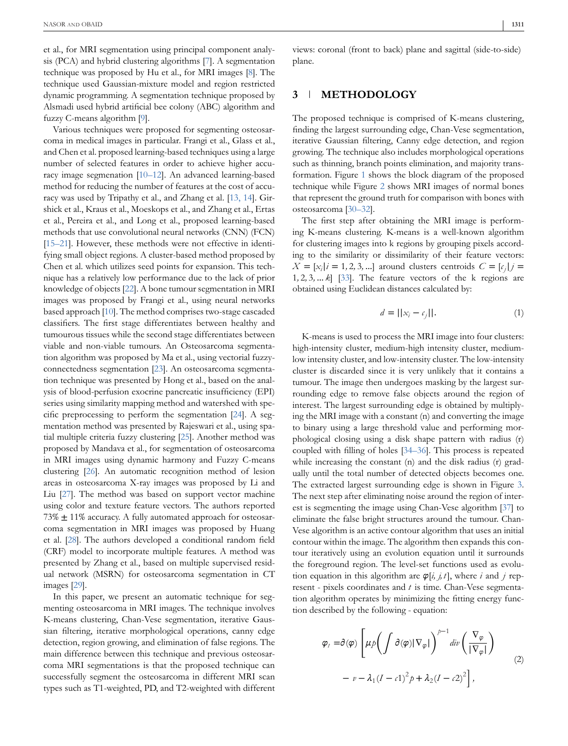et al., for MRI segmentation using principal component analysis (PCA) and hybrid clustering algorithms [7]. A segmentation technique was proposed by Hu et al., for MRI images [8]. The technique used Gaussian-mixture model and region restricted dynamic programming. A segmentation technique proposed by Alsmadi used hybrid artificial bee colony (ABC) algorithm and fuzzy C-means algorithm [9].

Various techniques were proposed for segmenting osteosarcoma in medical images in particular. Frangi et al., Glass et al., and Chen et al. proposed learning-based techniques using a large number of selected features in order to achieve higher accuracy image segmenation [10–12]. An advanced learning-based method for reducing the number of features at the cost of accuracy was used by Tripathy et al., and Zhang et al. [13, 14]. Girshick et al., Kraus et al., Moeskops et al., and Zhang et al., Ertas et al., Pereira et al., and Long et al., proposed learning-based methods that use convolutional neural networks (CNN) (FCN) [15–21]. However, these methods were not effective in identifying small object regions. A cluster-based method proposed by Chen et al. which utilizes seed points for expansion. This technique has a relatively low performance due to the lack of prior knowledge of objects [22]. A bone tumour segmentation in MRI images was proposed by Frangi et al., using neural networks based approach [10]. The method comprises two-stage cascaded classifiers. The first stage differentiates between healthy and tumourous tissues while the second stage differentiates between viable and non-viable tumours. An Osteosarcoma segmentation algorithm was proposed by Ma et al., using vectorial fuzzyconnectedness segmentation [23]. An osteosarcoma segmentation technique was presented by Hong et al., based on the analysis of blood-perfusion exocrine pancreatic insufficiency (EPI) series using similarity mapping method and watershed with specific preprocessing to perform the segmentation [24]. A segmentation method was presented by Rajeswari et al., using spatial multiple criteria fuzzy clustering [25]. Another method was proposed by Mandava et al., for segmentation of osteosarcoma in MRI images using dynamic harmony and Fuzzy C-means clustering [26]. An automatic recognition method of lesion areas in osteosarcoma X-ray images was proposed by Li and Liu [27]. The method was based on support vector machine using color and texture feature vectors. The authors reported 73%  $\pm$  11% accuracy. A fully automated approach for osteosarcoma segmentation in MRI images was proposed by Huang et al. [28]. The authors developed a conditional random field (CRF) model to incorporate multiple features. A method was presented by Zhang et al., based on multiple supervised residual network (MSRN) for osteosarcoma segmentation in CT images [29].

In this paper, we present an automatic technique for segmenting osteosarcoma in MRI images. The technique involves K-means clustering, Chan-Vese segmentation, iterative Gaussian filtering, iterative morphological operations, canny edge detection, region growing, and elimination of false regions. The main difference between this technique and previous osteosarcoma MRI segmentations is that the proposed technique can successfully segment the osteosarcoma in different MRI scan types such as T1-weighted, PD, and T2-weighted with different views: coronal (front to back) plane and sagittal (side-to-side) plane.

## **3 METHODOLOGY**

The proposed technique is comprised of K-means clustering, finding the largest surrounding edge, Chan-Vese segmentation, iterative Gaussian filtering, Canny edge detection, and region growing. The technique also includes morphological operations such as thinning, branch points elimination, and majority transformation. Figure 1 shows the block diagram of the proposed technique while Figure 2 shows MRI images of normal bones that represent the ground truth for comparison with bones with osteosarcoma [30–32].

The first step after obtaining the MRI image is performing K-means clustering. K-means is a well-known algorithm for clustering images into k regions by grouping pixels according to the similarity or dissimilarity of their feature vectors:  $X = [x_i | i = 1, 2, 3, ...]$  around clusters centroids  $C = [c_j | j = 1, 2, 3, ...]$ 1*,* 2*,* 3*,* … *k*] [33]. The feature vectors of the k regions are obtained using Euclidean distances calculated by:

$$
d = ||x_i - c_j||. \tag{1}
$$

K-means is used to process the MRI image into four clusters: high-intensity cluster, medium-high intensity cluster, mediumlow intensity cluster, and low-intensity cluster. The low-intensity cluster is discarded since it is very unlikely that it contains a tumour. The image then undergoes masking by the largest surrounding edge to remove false objects around the region of interest. The largest surrounding edge is obtained by multiplying the MRI image with a constant (n) and converting the image to binary using a large threshold value and performing morphological closing using a disk shape pattern with radius (r) coupled with filling of holes [34–36]. This process is repeated while increasing the constant (n) and the disk radius (r) gradually until the total number of detected objects becomes one. The extracted largest surrounding edge is shown in Figure 3. The next step after eliminating noise around the region of interest is segmenting the image using Chan-Vese algorithm [37] to eliminate the false bright structures around the tumour. Chan-Vese algorithm is an active contour algorithm that uses an initial contour within the image. The algorithm then expands this contour iteratively using an evolution equation until it surrounds the foreground region. The level-set functions used as evolution equation in this algorithm are  $\varphi[i, j, t]$ , where *i* and *j* represent - pixels coordinates and *t* is time. Chan-Vese segmentation algorithm operates by minimizing the fitting energy function described by the following - equation:

$$
\varphi_{t} = \partial(\varphi) \left[ \mu p \left( \int \partial(\varphi) |\nabla_{\varphi}| \right)^{p-1} \operatorname{div} \left( \frac{\nabla_{\varphi}}{|\nabla_{\varphi}|} \right) - v - \lambda_{1} (I - c1)^{2} p + \lambda_{2} (I - c2)^{2} \right],
$$
\n(2)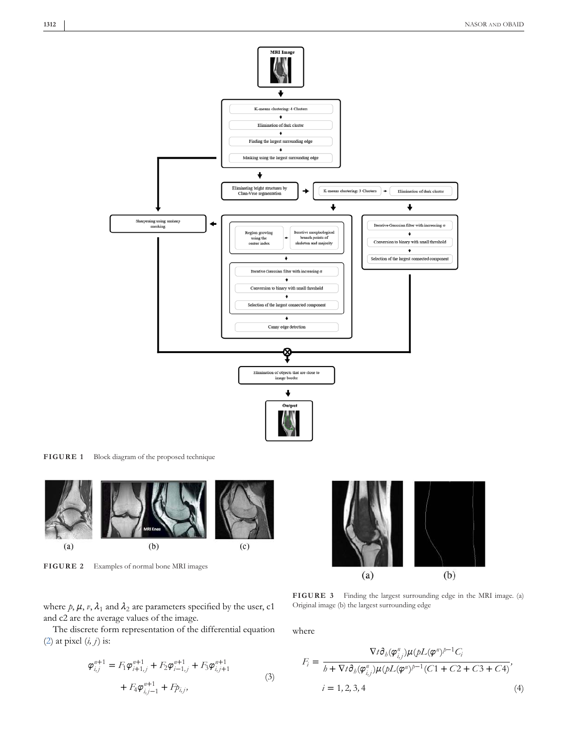

**FIGURE 1** Block diagram of the proposed technique



**FIGURE 2** Examples of normal bone MRI images

where  $p$ ,  $\mu$ ,  $v$ ,  $\lambda_1$  and  $\lambda_2$  are parameters specified by the user, c1 and c2 are the average values of the image.

The discrete form representation of the differential equation (2) at pixel (*i, j*) is:

$$
\varphi_{i,j}^{n+1} = F_1 \varphi_{i+1,j}^{n+1} + F_2 \varphi_{i-1,j}^{n+1} + F_3 \varphi_{i,j+1}^{n+1} + F_4 \varphi_{i,j-1}^{n+1} + F_2 \varphi_{i,j}^{n+1}
$$
\n(3)



**FIGURE 3** Finding the largest surrounding edge in the MRI image. (a) Original image (b) the largest surrounding edge

where

$$
F_i = \frac{\nabla t \partial_b (\varphi_{i,j}^n) \mu (pL(\varphi^n)^{p-1} C_i)}{b + \nabla t \partial_b (\varphi_{i,j}^n) \mu (pL(\varphi^n)^{p-1} (C1 + C2 + C3 + C4)},
$$
  
\n
$$
i = 1, 2, 3, 4
$$
 (4)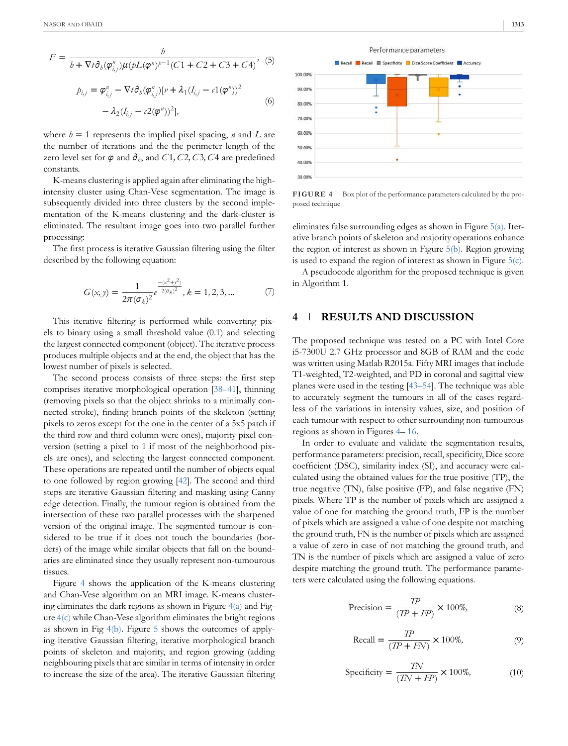$$
F = \frac{b}{b + \nabla t \partial_b(\varphi_{i,j}^n) \mu(bL(\varphi^n))^{p-1} (C1 + C2 + C3 + C4)},
$$
(5)  

$$
p_{i,j} = \varphi_{i,j}^n - \nabla t \partial_b(\varphi_{i,j}^n) [v + \lambda_1 (I_{i,j} - c1(\varphi^n))^2]
$$
(6)

where  $h = 1$  represents the implied pixel spacing, *n* and *L* are the number of iterations and the the perimeter length of the zero level set for  $\varphi$  and  $\partial_{b}$ , and  $C1$ ,  $C2$ ,  $C3$ ,  $C4$  are predefined constants.

 $-\lambda_2(I_{i,j}-c2(\varphi''))^2],$ 

K-means clustering is applied again after eliminating the highintensity cluster using Chan-Vese segmentation. The image is subsequently divided into three clusters by the second implementation of the K-means clustering and the dark-cluster is eliminated. The resultant image goes into two parallel further processing:

The first process is iterative Gaussian filtering using the filter described by the following equation:

$$
G(x, y) = \frac{1}{2\pi(\sigma_k)^2} e^{-\frac{-(x^2 + y^2)}{2(\sigma_k)^2}}, k = 1, 2, 3, ... \tag{7}
$$

This iterative filtering is performed while converting pixels to binary using a small threshold value (0.1) and selecting the largest connected component (object). The iterative process produces multiple objects and at the end, the object that has the lowest number of pixels is selected.

The second process consists of three steps: the first step comprises iterative morphological operation [38–41], thinning (removing pixels so that the object shrinks to a minimally connected stroke), finding branch points of the skeleton (setting pixels to zeros except for the one in the center of a 5x5 patch if the third row and third column were ones), majority pixel conversion (setting a pixel to 1 if most of the neighborhood pixels are ones), and selecting the largest connected component. These operations are repeated until the number of objects equal to one followed by region growing [42]. The second and third steps are iterative Gaussian filtering and masking using Canny edge detection. Finally, the tumour region is obtained from the intersection of these two parallel processes with the sharpened version of the original image. The segmented tumour is considered to be true if it does not touch the boundaries (borders) of the image while similar objects that fall on the boundaries are eliminated since they usually represent non-tumourous tissues.

Figure 4 shows the application of the K-means clustering and Chan-Vese algorithm on an MRI image. K-means clustering eliminates the dark regions as shown in Figure  $4(a)$  and Figure 4(c) while Chan-Vese algorithm eliminates the bright regions as shown in Fig 4(b). Figure 5 shows the outcomes of applying iterative Gaussian filtering, iterative morphological branch points of skeleton and majority, and region growing (adding neighbouring pixels that are similar in terms of intensity in order to increase the size of the area). The iterative Gaussian filtering



**FIGURE 4** Box plot of the performance parameters calculated by the proposed technique

eliminates false surrounding edges as shown in Figure 5(a). Iterative branch points of skeleton and majority operations enhance the region of interest as shown in Figure 5(b). Region growing is used to expand the region of interest as shown in Figure 5(c).

A pseudocode algorithm for the proposed technique is given in Algorithm 1.

# **4 RESULTS AND DISCUSSION**

The proposed technique was tested on a PC with Intel Core i5-7300U 2.7 GHz processor and 8GB of RAM and the code was written using Matlab R2015a. Fifty MRI images that include T1-weighted, T2-weighted, and PD in coronal and sagittal view planes were used in the testing [43–54]. The technique was able to accurately segment the tumours in all of the cases regardless of the variations in intensity values, size, and position of each tumour with respect to other surrounding non-tumourous regions as shown in Figures 4– 16.

In order to evaluate and validate the segmentation results, performance parameters: precision, recall, specificity, Dice score coefficient (DSC), similarity index (SI), and accuracy were calculated using the obtained values for the true positive (TP), the true negative (TN), false positive (FP), and false negative (FN) pixels. Where TP is the number of pixels which are assigned a value of one for matching the ground truth, FP is the number of pixels which are assigned a value of one despite not matching the ground truth, FN is the number of pixels which are assigned a value of zero in case of not matching the ground truth, and TN is the number of pixels which are assigned a value of zero despite matching the ground truth. The performance parameters were calculated using the following equations.

$$
Precision = \frac{TP}{(TP + FP)} \times 100\%,\tag{8}
$$

$$
\text{Recall} = \frac{TP}{(TP + FN)} \times 100\%,\tag{9}
$$

$$
Specificity = \frac{TN}{(TN + FP)} \times 100\%,\tag{10}
$$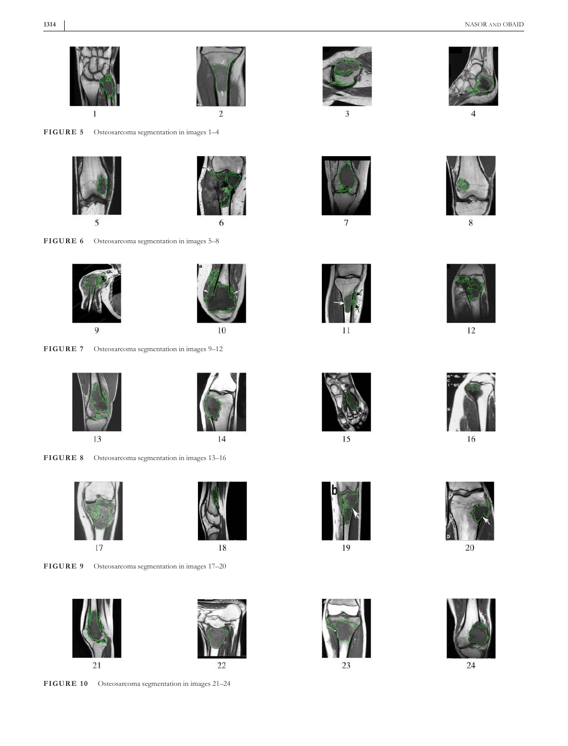

**FIGURE 5** Osteosarcoma segmentation in images 1–4





**FIGURE 6** Osteosarcoma segmentation in images 5–8





**FIGURE 7** Osteosarcoma segmentation in images 9–12





**FIGURE 8** Osteosarcoma segmentation in images 13–16





**FIGURE 9** Osteosarcoma segmentation in images 17–20





**FIGURE 10** Osteosarcoma segmentation in images 21–24



 $\mathbf{a}$ 

 $\overline{7}$ 

 $11$ 



 $\overline{4}$ 



8



12



16



15





20



23



24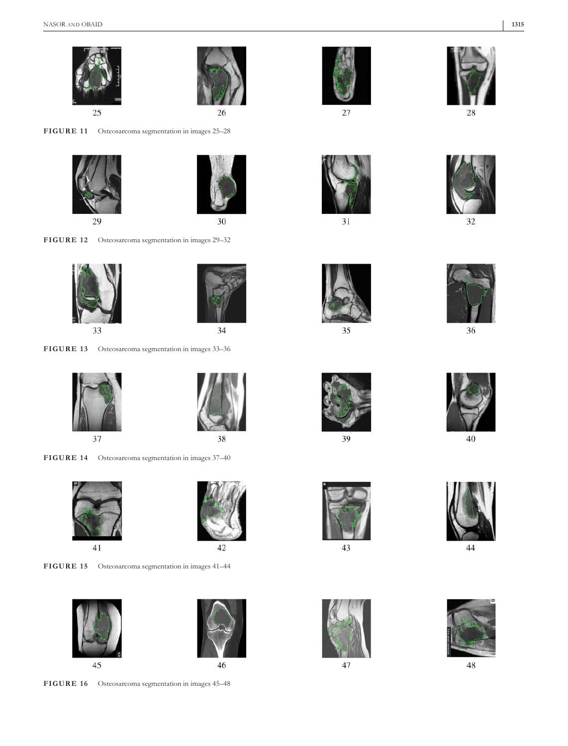



**FIGURE 11** Osteosarcoma segmentation in images 25–28





**FIGURE 12** Osteosarcoma segmentation in images 29–32





**FIGURE 13** Osteosarcoma segmentation in images 33–36





**FIGURE 14** Osteosarcoma segmentation in images 37–40





**FIGURE 15** Osteosarcoma segmentation in images 41–44





**FIGURE 16** Osteosarcoma segmentation in images 45–48





















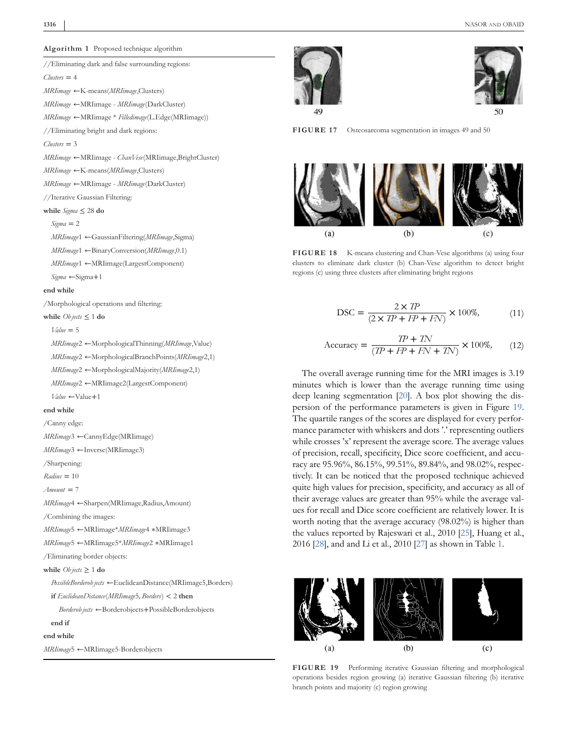*Clusters* = 4

*Clusters* = 3

*MRIimage* ←K-means(*MRIimage*,Clusters) *MRIimage* ←MRIimage - *MRIimage*(DarkCluster) *MRIimage* ←MRIimage \* *Filledimage*(L.Edge(MRIimage))

//Eliminating bright and dark regions:

*MRIimage* ←K-means(*MRIimage*,Clusters) *MRIimage* ←MRIimage - *MRIimage*(DarkCluster)

//Iterative Gaussian Filtering:

**while** *Sigma* ≤ 28 **do** *Sigma* = 2

*Sigma* ←Sigma+1

**while** *Ob jects* ≤ 1 **do** *Value* = 5

**end while**

*MRIimage* ←MRIimage - *ChanVese*(MRIimage,BrightCluster)

*MRIimage*1 ←GaussianFiltering(*MRIimage*,Sigma) *MRIimage*1 ←BinaryConversion(*MRIimage*,0.1) *MRIimage*1 ←MRIimage(LargestComponent)





**FIGURE 17** Osteosarcoma segmentation in images 49 and 50



**FIGURE 18** K-means clustering and Chan-Vese algorithms (a) using four clusters to eliminate dark cluster (b) Chan-Vese algorithm to detect bright regions (c) using three clusters after eliminating bright regions

$$
\text{DSC} = \frac{2 \times TP}{(2 \times TP + FP + FN)} \times 100\%,\tag{11}
$$

$$
Accuracy = \frac{TP + TN}{(TP + FP + FN + TN)} \times 100\%, \quad (12)
$$

The overall average running time for the MRI images is 3.19 minutes which is lower than the average running time using deep leaning segmentation [20]. A box plot showing the dispersion of the performance parameters is given in Figure 19. The quartile ranges of the scores are displayed for every performance parameter with whiskers and dots '.' representing outliers while crosses 'x' represent the average score. The average values of precision, recall, specificity, Dice score coefficient, and accuracy are 95.96%, 86.15%, 99.51%, 89.84%, and 98.02%, respectively. It can be noticed that the proposed technique achieved quite high values for precision, specificity, and accuracy as all of their average values are greater than 95% while the average values for recall and Dice score coefficient are relatively lower. It is worth noting that the average accuracy (98.02%) is higher than the values reported by Rajeswari et al., 2010 [25], Huang et al., 2016 [28], and and Li et al., 2010 [27] as shown in Table 1.



**FIGURE 19** Performing iterative Gaussian filtering and morphological operations besides region growing (a) iterative Gaussian filtering (b) iterative branch points and majority (c) region growing





*MRIimage*2 ←MorphologicalBranchPoints(*MRIimage*2,1) *MRIimage*2 ←MorphologicalMajority(*MRIimage*2,1)

/Morphological operations and filtering:

*MRIimage*2 ←MRIimage2(LargestComponent)

*MRIimage*2 ←MorphologicalThinning(*MRIimage*,Value)

*Value* ←Value+1

#### **end while**

/Canny edge:

*MRIimage*3 ←CannyEdge(MRIimage)

*MRIimage*3 ←Inverse(MRIimage3)

/Sharpening:

*Radius* = 10

*Amount* = 7

*MRIimage*4 ←Sharpen(MRIimage,Radius,Amount)

/Combining the images:

*MRIimage*5 ←MRIimage\**MRIimage*4 ∗MRIimage3

*MRIimage*5 ←MRIimage5\**MRIimage*2 ∗MRIimage1

/Eliminating border objects:

**while**  $Ob \textit{jects} \geq 1$  **do** 

*PossibleBorderob jects* ←EuclideanDistance(MRIimage5,Borders)

**if** *EuclideanDistance*(*MRIimage*5*, Borders*) < 2 **then**

*Borderob jects* ←Borderobjects+PossibleBorderobjects

# **end if**

**end while**

*MRIimage*5 ←MRIimage5-Borderobjects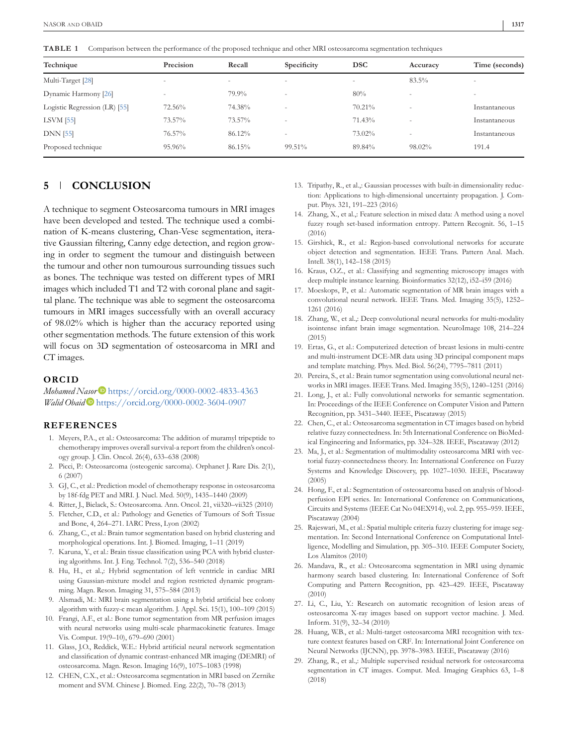**TABLE 1** Comparison between the performance of the proposed technique and other MRI osteosarcoma segmentation techniques

| Technique                     | Precision                | Recall | Specificity              | <b>DSC</b>               | Accuracy                 | Time (seconds)           |
|-------------------------------|--------------------------|--------|--------------------------|--------------------------|--------------------------|--------------------------|
| Multi-Target [28]             | $\overline{\phantom{a}}$ | ۰      | $\overline{\phantom{a}}$ | $\overline{\phantom{a}}$ | 83.5%                    | $\overline{\phantom{a}}$ |
| Dynamic Harmony [26]          | -                        | 79.9%  | $\overline{\phantom{a}}$ | 80%                      | $\overline{\phantom{a}}$ | $\overline{\phantom{a}}$ |
| Logistic Regression (LR) [55] | 72.56%                   | 74.38% | ٠                        | 70.21%                   | ٠                        | Instantaneous            |
| $LSVM$ [55]                   | 73.57%                   | 73.57% | $\overline{\phantom{a}}$ | 71.43%                   | $\overline{\phantom{a}}$ | Instantaneous            |
| <b>DNN</b> [55]               | 76.57%                   | 86.12% | $\overline{\phantom{a}}$ | 73.02%                   | $\overline{\phantom{a}}$ | Instantaneous            |
| Proposed technique            | 95.96%                   | 86.15% | 99.51%                   | 89.84%                   | 98.02%                   | 191.4                    |

# **5 CONCLUSION**

A technique to segment Osteosarcoma tumours in MRI images have been developed and tested. The technique used a combination of K-means clustering, Chan-Vese segmentation, iterative Gaussian filtering, Canny edge detection, and region growing in order to segment the tumour and distinguish between the tumour and other non tumourous surrounding tissues such as bones. The technique was tested on different types of MRI images which included T1 and T2 with coronal plane and sagittal plane. The technique was able to segment the osteosarcoma tumours in MRI images successfully with an overall accuracy of 98.02% which is higher than the accuracy reported using other segmentation methods. The future extension of this work will focus on 3D segmentation of osteosarcoma in MRI and CT images.

#### **ORCID**

Mohamed Nasor<sup>D</sup> https://orcid.org/0000-0002-4833-4363 *Walid Obaid* https://orcid.org/0000-0002-3604-0907

### **REFERENCES**

- 1. Meyers, P.A., et al.: Osteosarcoma: The addition of muramyl tripeptide to chemotherapy improves overall survival-a report from the children's oncology group. J. Clin. Oncol. 26(4), 633–638 (2008)
- 2. Picci, P.: Osteosarcoma (osteogenic sarcoma). Orphanet J. Rare Dis. 2(1), 6 (2007)
- 3. GJ, C., et al.: Prediction model of chemotherapy response in osteosarcoma by 18f-fdg PET and MRI. J. Nucl. Med. 50(9), 1435–1440 (2009)
- 4. Ritter, J., Bielack, S.: Osteosarcoma. Ann. Oncol. 21, vii320–vii325 (2010)
- 5. Fletcher, C.D., et al.: Pathology and Genetics of Tumours of Soft Tissue and Bone, 4, 264–271. IARC Press, Lyon (2002)
- 6. Zhang, C., et al.: Brain tumor segmentation based on hybrid clustering and morphological operations. Int. J. Biomed. Imaging, 1–11 (2019)
- 7. Karuna, Y., et al.: Brain tissue classification using PCA with hybrid clustering algorithms. Int. J. Eng. Technol. 7(2), 536–540 (2018)
- 8. Hu, H., et al.,: Hybrid segmentation of left ventricle in cardiac MRI using Gaussian-mixture model and region restricted dynamic programming. Magn. Reson. Imaging 31, 575–584 (2013)
- 9. Alsmadi, M.: MRI brain segmentation using a hybrid artificial bee colony algorithm with fuzzy-c mean algorithm. J. Appl. Sci. 15(1), 100–109 (2015)
- 10. Frangi, A.F., et al.: Bone tumor segmentation from MR perfusion images with neural networks using multi-scale pharmacokinetic features. Image Vis. Comput. 19(9–10), 679–690 (2001)
- 11. Glass, J.O., Reddick, W.E.: Hybrid artificial neural network segmentation and classification of dynamic contrast-enhanced MR imaging (DEMRI) of osteosarcoma. Magn. Reson. Imaging 16(9), 1075–1083 (1998)
- 12. CHEN, C.X., et al.: Osteosarcoma segmentation in MRI based on Zernike moment and SVM. Chinese J. Biomed. Eng. 22(2), 70–78 (2013)
- 13. Tripathy, R., et al.,: Gaussian processes with built-in dimensionality reduction: Applications to high-dimensional uncertainty propagation. J. Comput. Phys. 321, 191–223 (2016)
- 14. Zhang, X., et al.,: Feature selection in mixed data: A method using a novel fuzzy rough set-based information entropy. Pattern Recognit. 56, 1–15 (2016)
- 15. Girshick, R., et al.: Region-based convolutional networks for accurate object detection and segmentation. IEEE Trans. Pattern Anal. Mach. Intell. 38(1), 142–158 (2015)
- 16. Kraus, O.Z., et al.: Classifying and segmenting microscopy images with deep multiple instance learning. Bioinformatics 32(12), i52–i59 (2016)
- 17. Moeskops, P., et al.: Automatic segmentation of MR brain images with a convolutional neural network. IEEE Trans. Med. Imaging 35(5), 1252– 1261 (2016)
- 18. Zhang, W., et al.,: Deep convolutional neural networks for multi-modality isointense infant brain image segmentation. NeuroImage 108, 214–224 (2015)
- 19. Ertas, G., et al.: Computerized detection of breast lesions in multi-centre and multi-instrument DCE-MR data using 3D principal component maps and template matching. Phys. Med. Biol. 56(24), 7795–7811 (2011)
- 20. Pereira, S., et al.: Brain tumor segmentation using convolutional neural networks in MRI images. IEEE Trans. Med. Imaging 35(5), 1240–1251 (2016)
- 21. Long, J., et al.: Fully convolutional networks for semantic segmentation. In: Proceedings of the IEEE Conference on Computer Vision and Pattern Recognition, pp. 3431–3440. IEEE, Piscataway (2015)
- 22. Chen, C., et al.: Osteosarcoma segmentation in CT images based on hybrid relative fuzzy connectedness. In: 5th International Conference on BioMedical Engineering and Informatics, pp. 324–328. IEEE, Piscataway (2012)
- 23. Ma, J., et al.: Segmentation of multimodality osteosarcoma MRI with vectorial fuzzy-connectedness theory. In: International Conference on Fuzzy Systems and Knowledge Discovery, pp. 1027–1030. IEEE, Piscataway (2005)
- 24. Hong, F., et al.: Segmentation of osteosarcoma based on analysis of bloodperfusion EPI series. In: International Conference on Communications, Circuits and Systems (IEEE Cat No 04EX914), vol. 2, pp. 955–959. IEEE, Piscataway (2004)
- 25. Rajeswari, M., et al.: Spatial multiple criteria fuzzy clustering for image segmentation. In: Second International Conference on Computational Intelligence, Modelling and Simulation, pp. 305–310. IEEE Computer Society, Los Alamitos (2010)
- 26. Mandava, R., et al.: Osteosarcoma segmentation in MRI using dynamic harmony search based clustering. In: International Conference of Soft Computing and Pattern Recognition, pp. 423–429. IEEE, Piscataway (2010)
- 27. Li, C., Liu, Y.: Research on automatic recognition of lesion areas of osteosarcoma X-ray images based on support vector machine. J. Med. Inform. 31(9), 32–34 (2010)
- 28. Huang, W.B., et al.: Multi-target osteosarcoma MRI recognition with texture context features based on CRF. In: International Joint Conference on Neural Networks (IJCNN), pp. 3978–3983. IEEE, Piscataway (2016)
- 29. Zhang, R., et al.,: Multiple supervised residual network for osteosarcoma segmentation in CT images. Comput. Med. Imaging Graphics 63, 1–8 (2018)